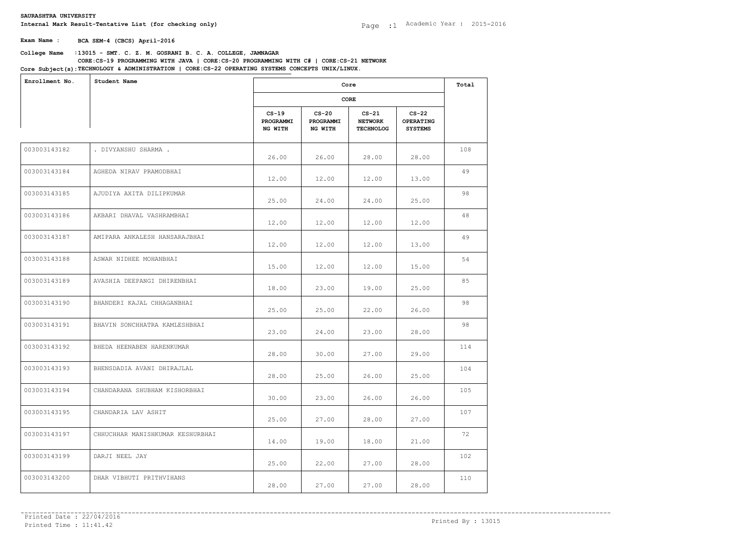**Exam Name : BCA SEM-4 (CBCS) April-2016**

# **College Name** :**13015 - SMT. C. Z. M. GOSRANI B. C. A. COLLEGE, JAMNAGAR Core Subject(s):TECHNOLOGY & ADMINISTRATION | CORE:CS-22 OPERATING SYSTEMS CONCEPTS UNIX/LINUX.**<br> **College Name : 13015 - SMT. C. Z. M. GOSRANI B. C. A. COLLEGE, JAMNAGAR**<br> **Core Subject(s):TECHNOLOGY & ADMINISTRATION | C CORE:CS-19 PROGRAMMING WITH JAVA | CORE:CS-20 PROGRAMMING WITH C# | CORE:CS-21 NETWORK**

| Enrollment No. | Student Name                     |                                 | Core                            |                                               |                                               |     |  |  |
|----------------|----------------------------------|---------------------------------|---------------------------------|-----------------------------------------------|-----------------------------------------------|-----|--|--|
|                |                                  |                                 | CORE                            |                                               |                                               |     |  |  |
|                |                                  | $CS-19$<br>PROGRAMMI<br>NG WITH | $CS-20$<br>PROGRAMMI<br>NG WITH | $CS-21$<br><b>NETWORK</b><br><b>TECHNOLOG</b> | $CS-22$<br><b>OPERATING</b><br><b>SYSTEMS</b> |     |  |  |
| 003003143182   | . DIVYANSHU SHARMA .             | 26.00                           | 26.00                           | 28.00                                         | 28.00                                         | 108 |  |  |
| 003003143184   | AGHEDA NIRAV PRAMODBHAI          | 12.00                           | 12.00                           | 12.00                                         | 13.00                                         | 49  |  |  |
| 003003143185   | AJUDIYA AXITA DILIPKUMAR         | 25.00                           | 24.00                           | 24.00                                         | 25.00                                         | 98  |  |  |
| 003003143186   | AKBARI DHAVAL VASHRAMBHAI        | 12.00                           | 12.00                           | 12.00                                         | 12.00                                         | 48  |  |  |
| 003003143187   | AMIPARA ANKALESH HANSARAJBHAI    | 12.00                           | 12.00                           | 12.00                                         | 13.00                                         | 49  |  |  |
| 003003143188   | ASWAR NIDHEE MOHANBHAI           | 15.00                           | 12.00                           | 12.00                                         | 15.00                                         | 54  |  |  |
| 003003143189   | AVASHIA DEEPANGI DHIRENBHAI      | 18.00                           | 23.00                           | 19.00                                         | 25.00                                         | 85  |  |  |
| 003003143190   | BHANDERI KAJAL CHHAGANBHAI       | 25.00                           | 25.00                           | 22.00                                         | 26.00                                         | 98  |  |  |
| 003003143191   | BHAVIN SONCHHATRA KAMLESHBHAI    | 23.00                           | 24.00                           | 23.00                                         | 28.00                                         | 98  |  |  |
| 003003143192   | BHEDA HEENABEN HARENKUMAR        | 28.00                           | 30.00                           | 27.00                                         | 29.00                                         | 114 |  |  |
| 003003143193   | BHENSDADIA AVANI DHIRAJLAL       | 28.00                           | 25.00                           | 26.00                                         | 25.00                                         | 104 |  |  |
| 003003143194   | CHANDARANA SHUBHAM KISHORBHAI    | 30.00                           | 23.00                           | 26.00                                         | 26.00                                         | 105 |  |  |
| 003003143195   | CHANDARIA LAV ASHIT              | 25.00                           | 27.00                           | 28.00                                         | 27.00                                         | 107 |  |  |
| 003003143197   | CHHUCHHAR MANISHKUMAR KESHURBHAI | 14.00                           | 19.00                           | 18.00                                         | 21.00                                         | 72  |  |  |
| 003003143199   | DARJI NEEL JAY                   | 25.00                           | 22.00                           | 27.00                                         | 28.00                                         | 102 |  |  |
| 003003143200   | DHAR VIBHUTI PRITHVIHANS         | 28.00                           | 27.00                           | 27.00                                         | 28.00                                         | 110 |  |  |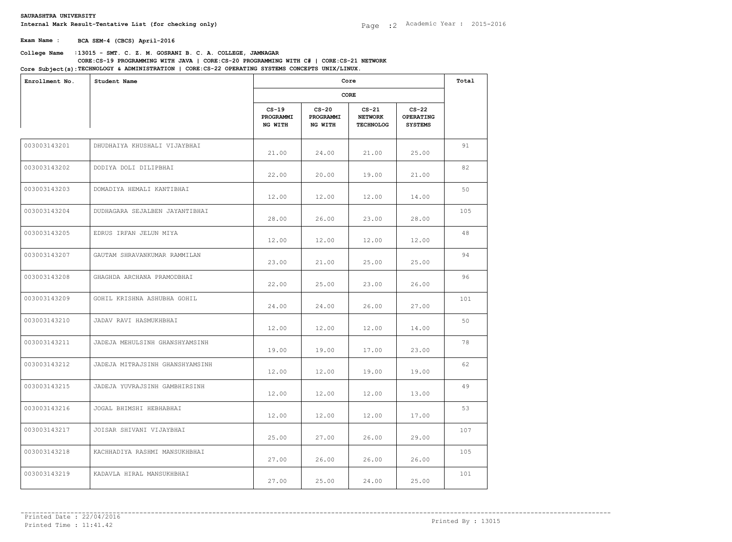**Exam Name : BCA SEM-4 (CBCS) April-2016**

# **College Name** :**13015 - SMT. C. Z. M. GOSRANI B. C. A. COLLEGE, JAMNAGAR Core Subject(s):TECHNOLOGY & ADMINISTRATION | CORE:CS-22 OPERATING SYSTEMS CONCEPTS UNIX/LINUX.**<br> **College Name : 13015 - SMT. C. Z. M. GOSRANI B. C. A. COLLEGE, JAMNAGAR**<br> **Core Subject(s):TECHNOLOGY & ADMINISTRATION | C CORE:CS-19 PROGRAMMING WITH JAVA | CORE:CS-20 PROGRAMMING WITH C# | CORE:CS-21 NETWORK**

| CORE<br>$CS-19$<br>$CS-20$<br>$CS-21$<br>$CS-22$<br>PROGRAMMI<br>PROGRAMMI<br><b>NETWORK</b><br><b>OPERATING</b><br>NG WITH<br>NG WITH<br><b>TECHNOLOG</b><br><b>SYSTEMS</b><br>003003143201<br>DHUDHAIYA KHUSHALI VIJAYBHAI<br>21.00<br>24.00<br>21.00<br>25.00<br>003003143202<br>DODIYA DOLI DILIPBHAI<br>22.00<br>20.00<br>19.00<br>21.00<br>003003143203<br>DOMADIYA HEMALI KANTIBHAI<br>12.00<br>12.00<br>12.00<br>14.00<br>003003143204<br>DUDHAGARA SEJALBEN JAYANTIBHAI<br>28.00<br>26.00<br>23.00<br>28.00 | 91<br>82<br>50<br>105 |
|----------------------------------------------------------------------------------------------------------------------------------------------------------------------------------------------------------------------------------------------------------------------------------------------------------------------------------------------------------------------------------------------------------------------------------------------------------------------------------------------------------------------|-----------------------|
|                                                                                                                                                                                                                                                                                                                                                                                                                                                                                                                      |                       |
|                                                                                                                                                                                                                                                                                                                                                                                                                                                                                                                      |                       |
|                                                                                                                                                                                                                                                                                                                                                                                                                                                                                                                      |                       |
|                                                                                                                                                                                                                                                                                                                                                                                                                                                                                                                      |                       |
|                                                                                                                                                                                                                                                                                                                                                                                                                                                                                                                      |                       |
|                                                                                                                                                                                                                                                                                                                                                                                                                                                                                                                      |                       |
| 003003143205<br>EDRUS IRFAN JELUN MIYA<br>12.00<br>12.00<br>12.00<br>12.00                                                                                                                                                                                                                                                                                                                                                                                                                                           | 48                    |
| 003003143207<br>GAUTAM SHRAVANKUMAR RAMMILAN<br>23.00<br>25.00<br>25.00<br>21.00                                                                                                                                                                                                                                                                                                                                                                                                                                     | 94                    |
| 003003143208<br>GHAGHDA ARCHANA PRAMODBHAI<br>22.00<br>25.00<br>23.00<br>26.00                                                                                                                                                                                                                                                                                                                                                                                                                                       | 96                    |
| 003003143209<br>GOHIL KRISHNA ASHUBHA GOHIL<br>24.00<br>24.00<br>26.00<br>27.00                                                                                                                                                                                                                                                                                                                                                                                                                                      | 101                   |
| 003003143210<br>JADAV RAVI HASMUKHBHAI<br>12.00<br>12.00<br>12.00<br>14.00                                                                                                                                                                                                                                                                                                                                                                                                                                           | 50                    |
| 003003143211<br>JADEJA MEHULSINH GHANSHYAMSINH<br>19.00<br>19.00<br>17.00<br>23.00                                                                                                                                                                                                                                                                                                                                                                                                                                   | 78                    |
| 003003143212<br>JADEJA MITRAJSINH GHANSHYAMSINH<br>12.00<br>12.00<br>19.00<br>19.00                                                                                                                                                                                                                                                                                                                                                                                                                                  | 62                    |
| 003003143215<br>JADEJA YUVRAJSINH GAMBHIRSINH<br>12.00<br>12.00<br>12.00<br>13.00                                                                                                                                                                                                                                                                                                                                                                                                                                    | 49                    |
| 003003143216<br>JOGAL BHIMSHI HEBHABHAI<br>12.00<br>12.00<br>12.00<br>17.00                                                                                                                                                                                                                                                                                                                                                                                                                                          | 53                    |
| 003003143217<br>JOISAR SHIVANI VIJAYBHAI<br>25.00<br>27.00<br>26.00<br>29.00                                                                                                                                                                                                                                                                                                                                                                                                                                         | 107                   |
| 003003143218<br>KACHHADIYA RASHMI MANSUKHBHAI<br>27.00<br>26.00<br>26.00<br>26.00                                                                                                                                                                                                                                                                                                                                                                                                                                    | 105                   |
| 003003143219<br>KADAVLA HIRAL MANSUKHBHAI<br>25.00<br>27.00<br>25.00<br>24.00                                                                                                                                                                                                                                                                                                                                                                                                                                        | 101                   |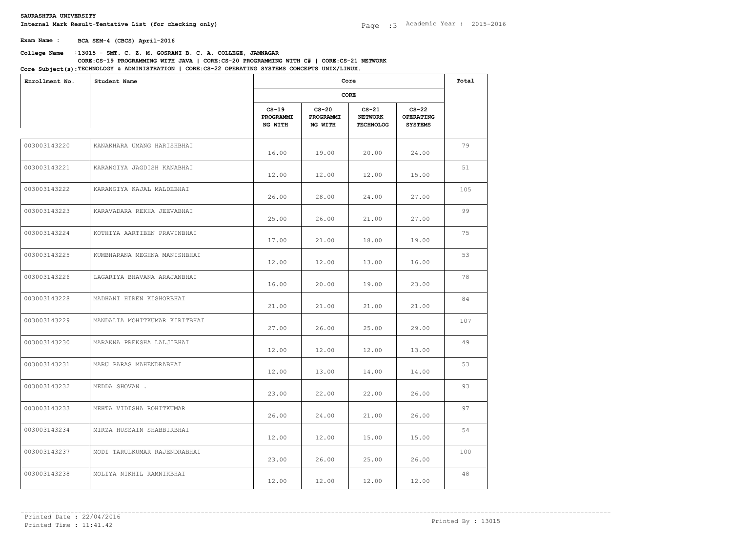**Exam Name : BCA SEM-4 (CBCS) April-2016**

# **College Name** :**13015 - SMT. C. Z. M. GOSRANI B. C. A. COLLEGE, JAMNAGAR Core Subject(s):TECHNOLOGY & ADMINISTRATION | CORE:CS-22 OPERATING SYSTEMS CONCEPTS UNIX/LINUX.**<br> **College Name : 13015 - SMT. C. Z. M. GOSRANI B. C. A. COLLEGE, JAMNAGAR**<br> **Core Subject(s):TECHNOLOGY & ADMINISTRATION | C CORE:CS-19 PROGRAMMING WITH JAVA | CORE:CS-20 PROGRAMMING WITH C# | CORE:CS-21 NETWORK**

| Enrollment No. | Student Name                  |                                 | Core                            |                                               |                                        |     |  |
|----------------|-------------------------------|---------------------------------|---------------------------------|-----------------------------------------------|----------------------------------------|-----|--|
|                |                               |                                 | CORE                            |                                               |                                        |     |  |
|                |                               | $CS-19$<br>PROGRAMMI<br>NG WITH | $CS-20$<br>PROGRAMMI<br>NG WITH | $CS-21$<br><b>NETWORK</b><br><b>TECHNOLOG</b> | $CS-22$<br>OPERATING<br><b>SYSTEMS</b> |     |  |
| 003003143220   | KANAKHARA UMANG HARISHBHAI    | 16.00                           | 19.00                           | 20.00                                         | 24.00                                  | 79  |  |
| 003003143221   | KARANGIYA JAGDISH KANABHAI    | 12.00                           | 12.00                           | 12.00                                         | 15.00                                  | 51  |  |
| 003003143222   | KARANGIYA KAJAL MALDEBHAI     | 26.00                           | 28.00                           | 24.00                                         | 27.00                                  | 105 |  |
| 003003143223   | KARAVADARA REKHA JEEVABHAI    | 25.00                           | 26.00                           | 21.00                                         | 27.00                                  | 99  |  |
| 003003143224   | KOTHIYA AARTIBEN PRAVINBHAI   | 17.00                           | 21.00                           | 18.00                                         | 19.00                                  | 75  |  |
| 003003143225   | KUMBHARANA MEGHNA MANISHBHAI  | 12.00                           | 12.00                           | 13.00                                         | 16.00                                  | 53  |  |
| 003003143226   | LAGARIYA BHAVANA ARAJANBHAI   | 16.00                           | 20.00                           | 19.00                                         | 23.00                                  | 78  |  |
| 003003143228   | MADHANI HIREN KISHORBHAI      | 21.00                           | 21.00                           | 21.00                                         | 21.00                                  | 84  |  |
| 003003143229   | MANDALIA MOHITKUMAR KIRITBHAI | 27.00                           | 26.00                           | 25.00                                         | 29.00                                  | 107 |  |
| 003003143230   | MARAKNA PREKSHA LALJIBHAI     | 12.00                           | 12.00                           | 12.00                                         | 13.00                                  | 49  |  |
| 003003143231   | MARU PARAS MAHENDRABHAI       | 12.00                           | 13.00                           | 14.00                                         | 14.00                                  | 53  |  |
| 003003143232   | MEDDA SHOVAN.                 | 23.00                           | 22.00                           | 22.00                                         | 26.00                                  | 93  |  |
| 003003143233   | MEHTA VIDISHA ROHITKUMAR      | 26.00                           | 24.00                           | 21.00                                         | 26.00                                  | 97  |  |
| 003003143234   | MIRZA HUSSAIN SHABBIRBHAI     | 12.00                           | 12.00                           | 15.00                                         | 15.00                                  | 54  |  |
| 003003143237   | MODI TARULKUMAR RAJENDRABHAI  | 23.00                           | 26.00                           | 25.00                                         | 26.00                                  | 100 |  |
| 003003143238   | MOLIYA NIKHIL RAMNIKBHAI      | 12.00                           | 12.00                           | 12.00                                         | 12.00                                  | 48  |  |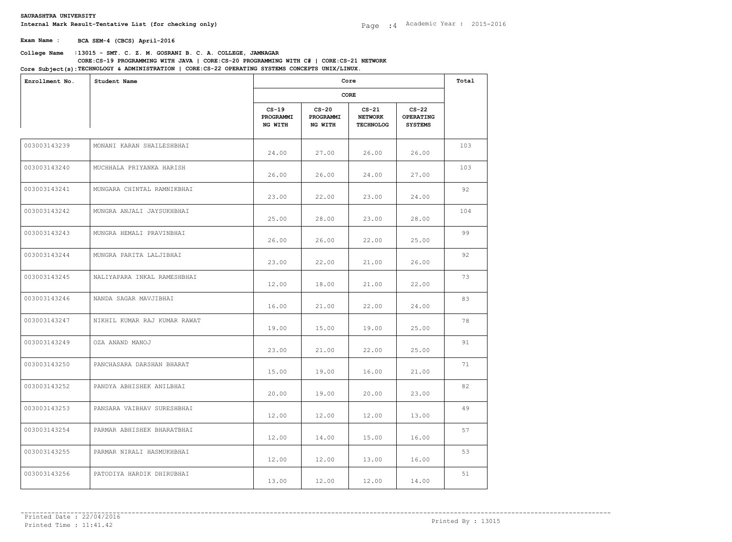**Exam Name : BCA SEM-4 (CBCS) April-2016**

# **College Name** :**13015 - SMT. C. Z. M. GOSRANI B. C. A. COLLEGE, JAMNAGAR Core Subject(s):TECHNOLOGY & ADMINISTRATION | CORE:CS-22 OPERATING SYSTEMS CONCEPTS UNIX/LINUX.**<br> **College Name : 13015 - SMT. C. Z. M. GOSRANI B. C. A. COLLEGE, JAMNAGAR**<br> **Core Subject(s):TECHNOLOGY & ADMINISTRATION | C CORE:CS-19 PROGRAMMING WITH JAVA | CORE:CS-20 PROGRAMMING WITH C# | CORE:CS-21 NETWORK**

| Enrollment No. | Core<br>Student Name         |                                 |                                 |                                               |                                        | Total |  |
|----------------|------------------------------|---------------------------------|---------------------------------|-----------------------------------------------|----------------------------------------|-------|--|
|                |                              |                                 | CORE                            |                                               |                                        |       |  |
|                |                              | $CS-19$<br>PROGRAMMI<br>NG WITH | $CS-20$<br>PROGRAMMI<br>NG WITH | $CS-21$<br><b>NETWORK</b><br><b>TECHNOLOG</b> | $CS-22$<br>OPERATING<br><b>SYSTEMS</b> |       |  |
| 003003143239   | MONANI KARAN SHAILESHBHAI    | 24.00                           | 27.00                           | 26.00                                         | 26.00                                  | 103   |  |
| 003003143240   | MUCHHALA PRIYANKA HARISH     | 26.00                           | 26.00                           | 24.00                                         | 27.00                                  | 103   |  |
| 003003143241   | MUNGARA CHINTAL RAMNIKBHAI   | 23.00                           | 22.00                           | 23.00                                         | 24.00                                  | 92    |  |
| 003003143242   | MUNGRA ANJALI JAYSUKHBHAI    | 25.00                           | 28.00                           | 23.00                                         | 28.00                                  | 104   |  |
| 003003143243   | MUNGRA HEMALI PRAVINBHAI     | 26.00                           | 26.00                           | 22.00                                         | 25.00                                  | 99    |  |
| 003003143244   | MUNGRA PARITA LALJIBHAI      | 23.00                           | 22.00                           | 21.00                                         | 26.00                                  | 92    |  |
| 003003143245   | NALIYAPARA INKAL RAMESHBHAI  | 12.00                           | 18.00                           | 21.00                                         | 22.00                                  | 73    |  |
| 003003143246   | NANDA SAGAR MAVJIBHAI        | 16.00                           | 21.00                           | 22.00                                         | 24.00                                  | 83    |  |
| 003003143247   | NIKHIL KUMAR RAJ KUMAR RAWAT | 19.00                           | 15.00                           | 19.00                                         | 25.00                                  | 78    |  |
| 003003143249   | OZA ANAND MANOJ              | 23.00                           | 21.00                           | 22.00                                         | 25.00                                  | 91    |  |
| 003003143250   | PANCHASARA DARSHAN BHARAT    | 15.00                           | 19.00                           | 16.00                                         | 21.00                                  | 71    |  |
| 003003143252   | PANDYA ABHISHEK ANILBHAI     | 20.00                           | 19.00                           | 20.00                                         | 23.00                                  | 82    |  |
| 003003143253   | PANSARA VAIBHAV SURESHBHAI   | 12.00                           | 12.00                           | 12.00                                         | 13.00                                  | 49    |  |
| 003003143254   | PARMAR ABHISHEK BHARATBHAI   | 12.00                           | 14.00                           | 15.00                                         | 16.00                                  | 57    |  |
| 003003143255   | PARMAR NIRALI HASMUKHBHAI    | 12.00                           | 12.00                           | 13.00                                         | 16.00                                  | 53    |  |
| 003003143256   | PATODIYA HARDIK DHIRUBHAI    | 13.00                           | 12.00                           | 12.00                                         | 14.00                                  | 51    |  |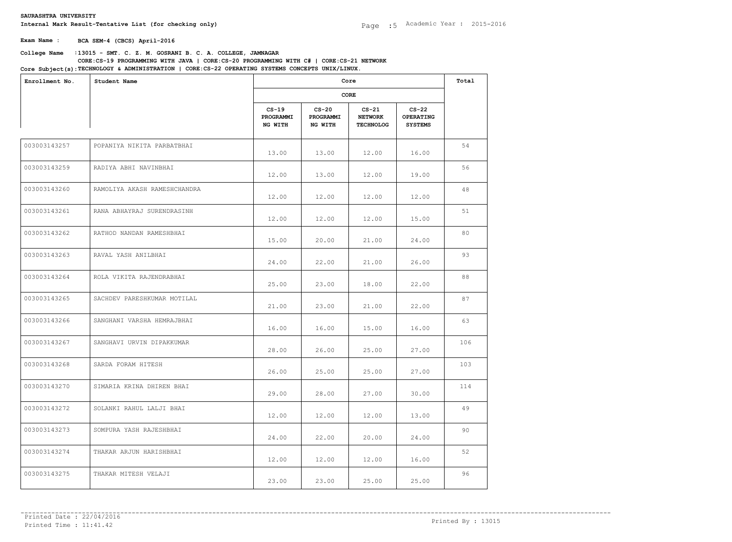**Exam Name : BCA SEM-4 (CBCS) April-2016**

# **College Name** :**13015 - SMT. C. Z. M. GOSRANI B. C. A. COLLEGE, JAMNAGAR Core Subject(s):TECHNOLOGY & ADMINISTRATION | CORE:CS-22 OPERATING SYSTEMS CONCEPTS UNIX/LINUX.**<br> **College Name : 13015 - SMT. C. Z. M. GOSRANI B. C. A. COLLEGE, JAMNAGAR**<br> **Core Subject(s):TECHNOLOGY & ADMINISTRATION | C CORE:CS-19 PROGRAMMING WITH JAVA | CORE:CS-20 PROGRAMMING WITH C# | CORE:CS-21 NETWORK**

| Enrollment No. | Student Name                 |                                 | Core<br>CORE                    |                                               |                                        |     |
|----------------|------------------------------|---------------------------------|---------------------------------|-----------------------------------------------|----------------------------------------|-----|
|                |                              |                                 |                                 |                                               |                                        |     |
|                |                              | $CS-19$<br>PROGRAMMI<br>NG WITH | $CS-20$<br>PROGRAMMI<br>NG WITH | $CS-21$<br><b>NETWORK</b><br><b>TECHNOLOG</b> | $CS-22$<br>OPERATING<br><b>SYSTEMS</b> |     |
| 003003143257   | POPANIYA NIKITA PARBATBHAI   | 13.00                           | 13.00                           | 12.00                                         | 16.00                                  | 54  |
| 003003143259   | RADIYA ABHI NAVINBHAI        | 12.00                           | 13.00                           | 12.00                                         | 19.00                                  | 56  |
| 003003143260   | RAMOLIYA AKASH RAMESHCHANDRA | 12.00                           | 12.00                           | 12.00                                         | 12.00                                  | 48  |
| 003003143261   | RANA ABHAYRAJ SURENDRASINH   | 12.00                           | 12.00                           | 12.00                                         | 15.00                                  | 51  |
| 003003143262   | RATHOD NANDAN RAMESHBHAI     | 15.00                           | 20.00                           | 21.00                                         | 24.00                                  | 80  |
| 003003143263   | RAVAL YASH ANILBHAI          | 24.00                           | 22.00                           | 21.00                                         | 26.00                                  | 93  |
| 003003143264   | ROLA VIKITA RAJENDRABHAI     | 25.00                           | 23.00                           | 18.00                                         | 22.00                                  | 88  |
| 003003143265   | SACHDEV PARESHKUMAR MOTILAL  | 21.00                           | 23.00                           | 21.00                                         | 22.00                                  | 87  |
| 003003143266   | SANGHANI VARSHA HEMRAJBHAI   | 16.00                           | 16.00                           | 15.00                                         | 16.00                                  | 63  |
| 003003143267   | SANGHAVI URVIN DIPAKKUMAR    | 28.00                           | 26.00                           | 25.00                                         | 27.00                                  | 106 |
| 003003143268   | SARDA FORAM HITESH           | 26.00                           | 25.00                           | 25.00                                         | 27.00                                  | 103 |
| 003003143270   | SIMARIA KRINA DHIREN BHAI    | 29.00                           | 28.00                           | 27.00                                         | 30.00                                  | 114 |
| 003003143272   | SOLANKI RAHUL LALJI BHAI     | 12.00                           | 12.00                           | 12.00                                         | 13.00                                  | 49  |
| 003003143273   | SOMPURA YASH RAJESHBHAI      | 24.00                           | 22.00                           | 20.00                                         | 24.00                                  | 90  |
| 003003143274   | THAKAR ARJUN HARISHBHAI      | 12.00                           | 12.00                           | 12.00                                         | 16.00                                  | 52  |
| 003003143275   | THAKAR MITESH VELAJI         | 23.00                           | 23.00                           | 25.00                                         | 25.00                                  | 96  |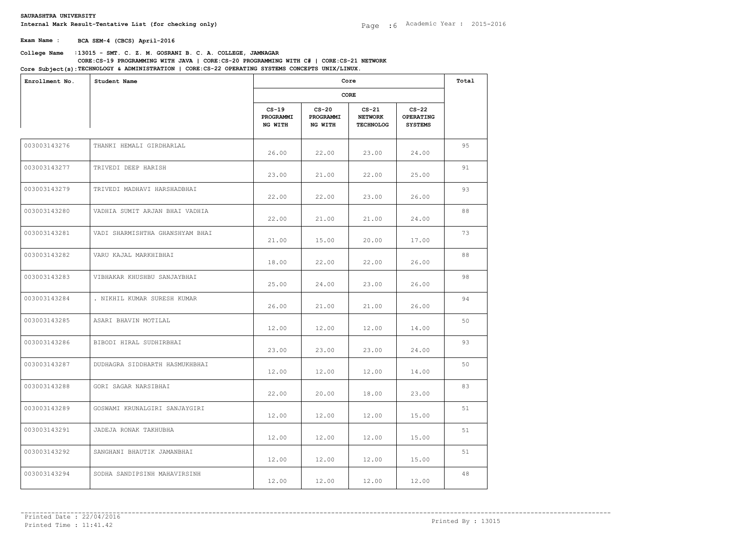**Exam Name : BCA SEM-4 (CBCS) April-2016**

# **College Name** :**13015 - SMT. C. Z. M. GOSRANI B. C. A. COLLEGE, JAMNAGAR Core Subject(s):TECHNOLOGY & ADMINISTRATION | CORE:CS-22 OPERATING SYSTEMS CONCEPTS UNIX/LINUX.**<br> **College Name : 13015 - SMT. C. Z. M. GOSRANI B. C. A. COLLEGE, JAMNAGAR**<br> **Core Subject(s):TECHNOLOGY & ADMINISTRATION | C CORE:CS-19 PROGRAMMING WITH JAVA | CORE:CS-20 PROGRAMMING WITH C# | CORE:CS-21 NETWORK**

| Enrollment No. | Student Name                    |                                 | Core                            |                                               |                                        |    |  |  |
|----------------|---------------------------------|---------------------------------|---------------------------------|-----------------------------------------------|----------------------------------------|----|--|--|
|                |                                 | CORE                            |                                 |                                               |                                        |    |  |  |
|                |                                 | $CS-19$<br>PROGRAMMI<br>NG WITH | $CS-20$<br>PROGRAMMI<br>NG WITH | $CS-21$<br><b>NETWORK</b><br><b>TECHNOLOG</b> | $CS-22$<br>OPERATING<br><b>SYSTEMS</b> |    |  |  |
| 003003143276   | THANKI HEMALI GIRDHARLAL        | 26.00                           | 22.00                           | 23.00                                         | 24.00                                  | 95 |  |  |
| 003003143277   | TRIVEDI DEEP HARISH             | 23.00                           | 21.00                           | 22.00                                         | 25.00                                  | 91 |  |  |
| 003003143279   | TRIVEDI MADHAVI HARSHADBHAI     | 22.00                           | 22.00                           | 23.00                                         | 26.00                                  | 93 |  |  |
| 003003143280   | VADHIA SUMIT ARJAN BHAI VADHIA  | 22.00                           | 21.00                           | 21.00                                         | 24.00                                  | 88 |  |  |
| 003003143281   | VADI SHARMISHTHA GHANSHYAM BHAI | 21.00                           | 15.00                           | 20.00                                         | 17.00                                  | 73 |  |  |
| 003003143282   | VARU KAJAL MARKHIBHAI           | 18.00                           | 22.00                           | 22.00                                         | 26.00                                  | 88 |  |  |
| 003003143283   | VIBHAKAR KHUSHBU SANJAYBHAI     | 25.00                           | 24.00                           | 23.00                                         | 26.00                                  | 98 |  |  |
| 003003143284   | . NIKHIL KUMAR SURESH KUMAR     | 26.00                           | 21.00                           | 21.00                                         | 26.00                                  | 94 |  |  |
| 003003143285   | ASARI BHAVIN MOTILAL            | 12.00                           | 12.00                           | 12.00                                         | 14.00                                  | 50 |  |  |
| 003003143286   | BIBODI HIRAL SUDHIRBHAI         | 23.00                           | 23.00                           | 23.00                                         | 24.00                                  | 93 |  |  |
| 003003143287   | DUDHAGRA SIDDHARTH HASMUKHBHAI  | 12.00                           | 12.00                           | 12.00                                         | 14.00                                  | 50 |  |  |
| 003003143288   | GORI SAGAR NARSIBHAI            | 22.00                           | 20.00                           | 18.00                                         | 23.00                                  | 83 |  |  |
| 003003143289   | GOSWAMI KRUNALGIRI SANJAYGIRI   | 12.00                           | 12.00                           | 12.00                                         | 15.00                                  | 51 |  |  |
| 003003143291   | JADEJA RONAK TAKHUBHA           | 12.00                           | 12.00                           | 12.00                                         | 15.00                                  | 51 |  |  |
| 003003143292   | SANGHANI BHAUTIK JAMANBHAI      | 12.00                           | 12.00                           | 12.00                                         | 15.00                                  | 51 |  |  |
| 003003143294   | SODHA SANDIPSINH MAHAVIRSINH    | 12.00                           | 12.00                           | 12.00                                         | 12.00                                  | 48 |  |  |